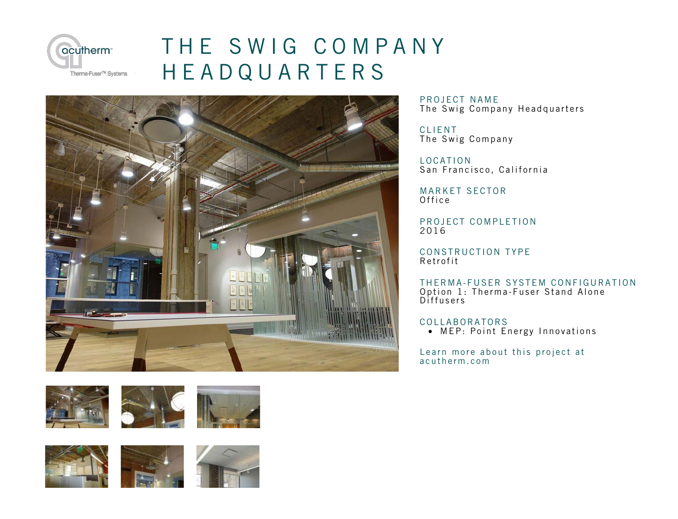

## T [HE SWIG COMPANY](http://acutherm.com/project/The-Swig-Company-Headquarters/) **HEADQUARTERS**







PROJECT NAME The Swig Company Headquarters

CLIENT The Swig Company

LOCATION San Francisco, California

MARKET SECTOR Office

PROJECT COMPLETION 2016

CONSTRUCTION TYPE Retrofit

THERMA-FUSER SYSTEM CONFIGURATION Option 1: Therma-Fuser Stand Alone Diffusers

**COLLABORATORS** 

• MEP: Point Energy Innovations

Lea[rn more about this project at](http://acutherm.com/project/The-Swig-Company-Headquarters/) a c u therm.com